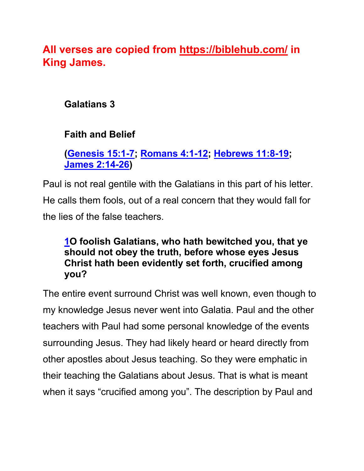# **All verses are copied from https://biblehub.com/ in King James.**

# **Galatians 3**

# **Faith and Belief**

# **(Genesis 15:1-7; Romans 4:1-12; Hebrews 11:8-19; James 2:14-26)**

Paul is not real gentile with the Galatians in this part of his letter. He calls them fools, out of a real concern that they would fall for the lies of the false teachers.

#### **1O foolish Galatians, who hath bewitched you, that ye should not obey the truth, before whose eyes Jesus Christ hath been evidently set forth, crucified among you?**

The entire event surround Christ was well known, even though to my knowledge Jesus never went into Galatia. Paul and the other teachers with Paul had some personal knowledge of the events surrounding Jesus. They had likely heard or heard directly from other apostles about Jesus teaching. So they were emphatic in their teaching the Galatians about Jesus. That is what is meant when it says "crucified among you". The description by Paul and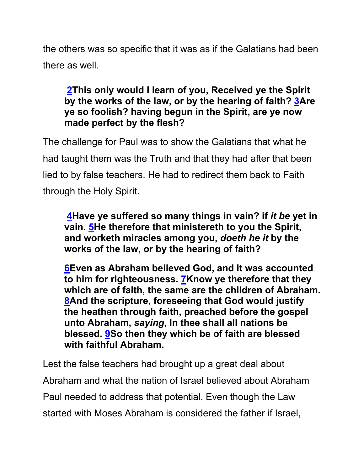the others was so specific that it was as if the Galatians had been there as well.

### **2This only would I learn of you, Received ye the Spirit by the works of the law, or by the hearing of faith? 3Are ye so foolish? having begun in the Spirit, are ye now made perfect by the flesh?**

The challenge for Paul was to show the Galatians that what he had taught them was the Truth and that they had after that been lied to by false teachers. He had to redirect them back to Faith through the Holy Spirit.

**4Have ye suffered so many things in vain? if** *it be* **yet in vain. 5He therefore that ministereth to you the Spirit, and worketh miracles among you,** *doeth he it* **by the works of the law, or by the hearing of faith?**

**6Even as Abraham believed God, and it was accounted to him for righteousness. 7Know ye therefore that they which are of faith, the same are the children of Abraham. 8And the scripture, foreseeing that God would justify the heathen through faith, preached before the gospel unto Abraham,** *saying***, In thee shall all nations be blessed. 9So then they which be of faith are blessed with faithful Abraham.**

Lest the false teachers had brought up a great deal about Abraham and what the nation of Israel believed about Abraham Paul needed to address that potential. Even though the Law started with Moses Abraham is considered the father if Israel,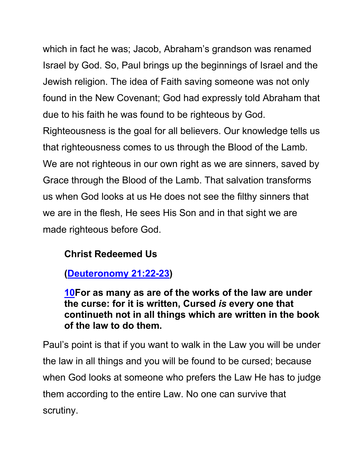which in fact he was; Jacob, Abraham's grandson was renamed Israel by God. So, Paul brings up the beginnings of Israel and the Jewish religion. The idea of Faith saving someone was not only found in the New Covenant; God had expressly told Abraham that due to his faith he was found to be righteous by God. Righteousness is the goal for all believers. Our knowledge tells us that righteousness comes to us through the Blood of the Lamb. We are not righteous in our own right as we are sinners, saved by Grace through the Blood of the Lamb. That salvation transforms us when God looks at us He does not see the filthy sinners that we are in the flesh, He sees His Son and in that sight we are made righteous before God.

# **Christ Redeemed Us**

**(Deuteronomy 21:22-23)**

**10For as many as are of the works of the law are under the curse: for it is written, Cursed** *is* **every one that continueth not in all things which are written in the book of the law to do them.**

Paul's point is that if you want to walk in the Law you will be under the law in all things and you will be found to be cursed; because when God looks at someone who prefers the Law He has to judge them according to the entire Law. No one can survive that scrutiny.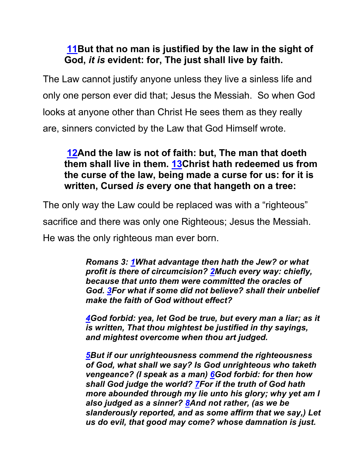### **11But that no man is justified by the law in the sight of God,** *it is* **evident: for, The just shall live by faith.**

The Law cannot justify anyone unless they live a sinless life and only one person ever did that; Jesus the Messiah. So when God looks at anyone other than Christ He sees them as they really are, sinners convicted by the Law that God Himself wrote.

**12And the law is not of faith: but, The man that doeth them shall live in them. 13Christ hath redeemed us from the curse of the law, being made a curse for us: for it is written, Cursed** *is* **every one that hangeth on a tree:** 

The only way the Law could be replaced was with a "righteous"

sacrifice and there was only one Righteous; Jesus the Messiah.

He was the only righteous man ever born.

*Romans 3: 1What advantage then hath the Jew? or what profit is there of circumcision? 2Much every way: chiefly, because that unto them were committed the oracles of God. 3For what if some did not believe? shall their unbelief make the faith of God without effect?*

*4God forbid: yea, let God be true, but every man a liar; as it is written, That thou mightest be justified in thy sayings, and mightest overcome when thou art judged.*

*5But if our unrighteousness commend the righteousness of God, what shall we say? Is God unrighteous who taketh vengeance? (I speak as a man) 6God forbid: for then how shall God judge the world? 7For if the truth of God hath more abounded through my lie unto his glory; why yet am I also judged as a sinner? 8And not rather, (as we be slanderously reported, and as some affirm that we say,) Let us do evil, that good may come? whose damnation is just.*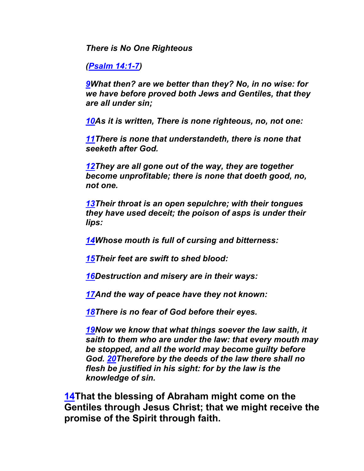*There is No One Righteous*

*(Psalm 14:1-7)*

*9What then? are we better than they? No, in no wise: for we have before proved both Jews and Gentiles, that they are all under sin;*

*10As it is written, There is none righteous, no, not one:*

*11There is none that understandeth, there is none that seeketh after God.*

*12They are all gone out of the way, they are together become unprofitable; there is none that doeth good, no, not one.*

*13Their throat is an open sepulchre; with their tongues they have used deceit; the poison of asps is under their lips:*

*14Whose mouth is full of cursing and bitterness:*

*15Their feet are swift to shed blood:*

*16Destruction and misery are in their ways:*

*17And the way of peace have they not known:*

*18There is no fear of God before their eyes.*

*19Now we know that what things soever the law saith, it saith to them who are under the law: that every mouth may be stopped, and all the world may become guilty before God. 20Therefore by the deeds of the law there shall no flesh be justified in his sight: for by the law is the knowledge of sin.*

**14That the blessing of Abraham might come on the Gentiles through Jesus Christ; that we might receive the promise of the Spirit through faith.**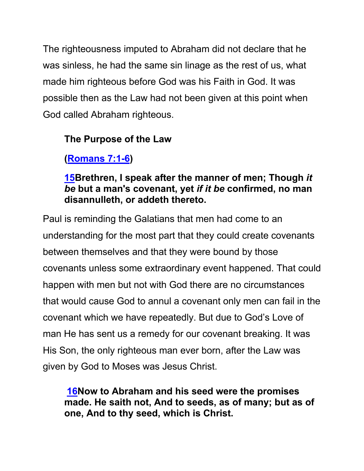The righteousness imputed to Abraham did not declare that he was sinless, he had the same sin linage as the rest of us, what made him righteous before God was his Faith in God. It was possible then as the Law had not been given at this point when God called Abraham righteous.

### **The Purpose of the Law**

# **(Romans 7:1-6)**

### **15Brethren, I speak after the manner of men; Though** *it be* **but a man's covenant, yet** *if it be* **confirmed, no man disannulleth, or addeth thereto.**

Paul is reminding the Galatians that men had come to an understanding for the most part that they could create covenants between themselves and that they were bound by those covenants unless some extraordinary event happened. That could happen with men but not with God there are no circumstances that would cause God to annul a covenant only men can fail in the covenant which we have repeatedly. But due to God's Love of man He has sent us a remedy for our covenant breaking. It was His Son, the only righteous man ever born, after the Law was given by God to Moses was Jesus Christ.

**16Now to Abraham and his seed were the promises made. He saith not, And to seeds, as of many; but as of one, And to thy seed, which is Christ.**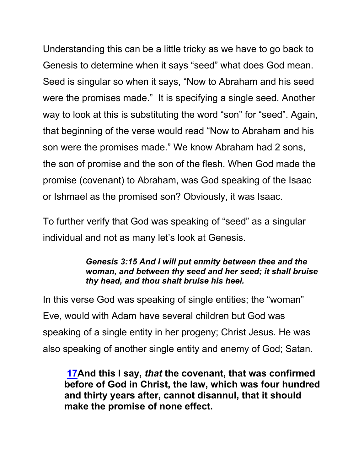Understanding this can be a little tricky as we have to go back to Genesis to determine when it says "seed" what does God mean. Seed is singular so when it says, "Now to Abraham and his seed were the promises made." It is specifying a single seed. Another way to look at this is substituting the word "son" for "seed". Again, that beginning of the verse would read "Now to Abraham and his son were the promises made." We know Abraham had 2 sons, the son of promise and the son of the flesh. When God made the promise (covenant) to Abraham, was God speaking of the Isaac or Ishmael as the promised son? Obviously, it was Isaac.

To further verify that God was speaking of "seed" as a singular individual and not as many let's look at Genesis.

#### *Genesis 3:15 And I will put enmity between thee and the woman, and between thy seed and her seed; it shall bruise thy head, and thou shalt bruise his heel.*

In this verse God was speaking of single entities; the "woman" Eve, would with Adam have several children but God was speaking of a single entity in her progeny; Christ Jesus. He was also speaking of another single entity and enemy of God; Satan.

**17And this I say,** *that* **the covenant, that was confirmed before of God in Christ, the law, which was four hundred and thirty years after, cannot disannul, that it should make the promise of none effect.**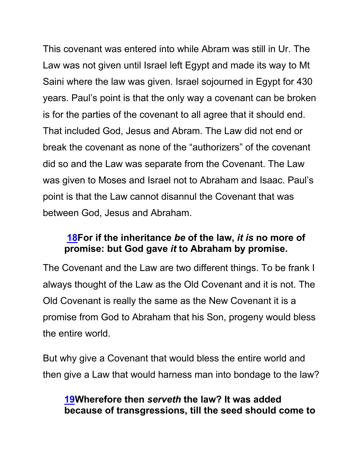This covenant was entered into while Abram was still in Ur. The Law was not given until Israel left Egypt and made its way to Mt Saini where the law was given. Israel sojourned in Egypt for 430 years. Paul's point is that the only way a covenant can be broken is for the parties of the covenant to all agree that it should end. That included God, Jesus and Abram. The Law did not end or break the covenant as none of the "authorizers" of the covenant did so and the Law was separate from the Covenant. The Law was given to Moses and Israel not to Abraham and Isaac. Paul's point is that the Law cannot disannul the Covenant that was between God, Jesus and Abraham.

#### **18For if the inheritance** *be* **of the law,** *it is* **no more of promise: but God gave** *it* **to Abraham by promise.**

The Covenant and the Law are two different things. To be frank I always thought of the Law as the Old Covenant and it is not. The Old Covenant is really the same as the New Covenant it is a promise from God to Abraham that his Son, progeny would bless the entire world.

But why give a Covenant that would bless the entire world and then give a Law that would harness man into bondage to the law?

#### **19Wherefore then** *serveth* **the law? It was added because of transgressions, till the seed should come to**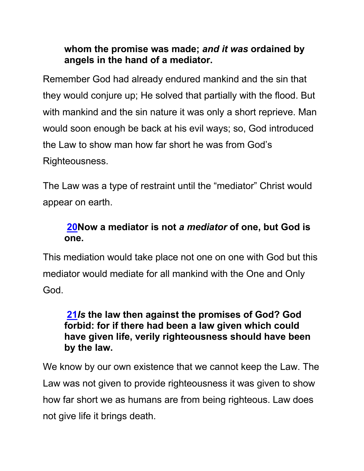### **whom the promise was made;** *and it was* **ordained by angels in the hand of a mediator.**

Remember God had already endured mankind and the sin that they would conjure up; He solved that partially with the flood. But with mankind and the sin nature it was only a short reprieve. Man would soon enough be back at his evil ways; so, God introduced the Law to show man how far short he was from God's Righteousness.

The Law was a type of restraint until the "mediator" Christ would appear on earth.

# **20Now a mediator is not** *a mediator* **of one, but God is one.**

This mediation would take place not one on one with God but this mediator would mediate for all mankind with the One and Only God.

### **21***Is* **the law then against the promises of God? God forbid: for if there had been a law given which could have given life, verily righteousness should have been by the law.**

We know by our own existence that we cannot keep the Law. The Law was not given to provide righteousness it was given to show how far short we as humans are from being righteous. Law does not give life it brings death.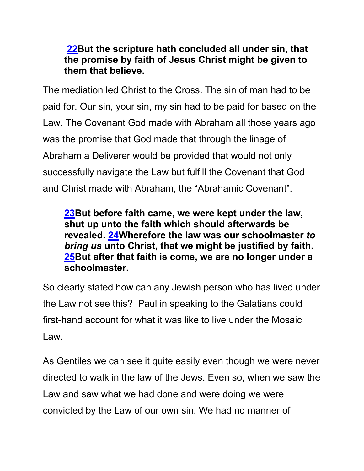#### **22But the scripture hath concluded all under sin, that the promise by faith of Jesus Christ might be given to them that believe.**

The mediation led Christ to the Cross. The sin of man had to be paid for. Our sin, your sin, my sin had to be paid for based on the Law. The Covenant God made with Abraham all those years ago was the promise that God made that through the linage of Abraham a Deliverer would be provided that would not only successfully navigate the Law but fulfill the Covenant that God and Christ made with Abraham, the "Abrahamic Covenant".

**23But before faith came, we were kept under the law, shut up unto the faith which should afterwards be revealed. 24Wherefore the law was our schoolmaster** *to bring us* **unto Christ, that we might be justified by faith. 25But after that faith is come, we are no longer under a schoolmaster.**

So clearly stated how can any Jewish person who has lived under the Law not see this? Paul in speaking to the Galatians could first-hand account for what it was like to live under the Mosaic Law.

As Gentiles we can see it quite easily even though we were never directed to walk in the law of the Jews. Even so, when we saw the Law and saw what we had done and were doing we were convicted by the Law of our own sin. We had no manner of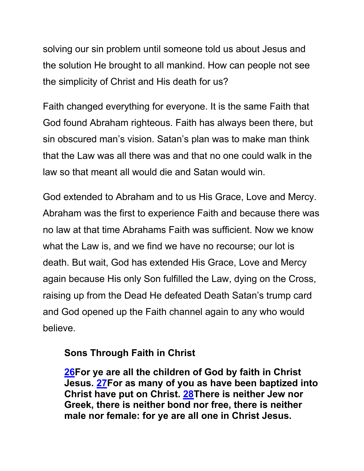solving our sin problem until someone told us about Jesus and the solution He brought to all mankind. How can people not see the simplicity of Christ and His death for us?

Faith changed everything for everyone. It is the same Faith that God found Abraham righteous. Faith has always been there, but sin obscured man's vision. Satan's plan was to make man think that the Law was all there was and that no one could walk in the law so that meant all would die and Satan would win.

God extended to Abraham and to us His Grace, Love and Mercy. Abraham was the first to experience Faith and because there was no law at that time Abrahams Faith was sufficient. Now we know what the Law is, and we find we have no recourse; our lot is death. But wait, God has extended His Grace, Love and Mercy again because His only Son fulfilled the Law, dying on the Cross, raising up from the Dead He defeated Death Satan's trump card and God opened up the Faith channel again to any who would believe.

#### **Sons Through Faith in Christ**

**26For ye are all the children of God by faith in Christ Jesus. 27For as many of you as have been baptized into Christ have put on Christ. 28There is neither Jew nor Greek, there is neither bond nor free, there is neither male nor female: for ye are all one in Christ Jesus.**